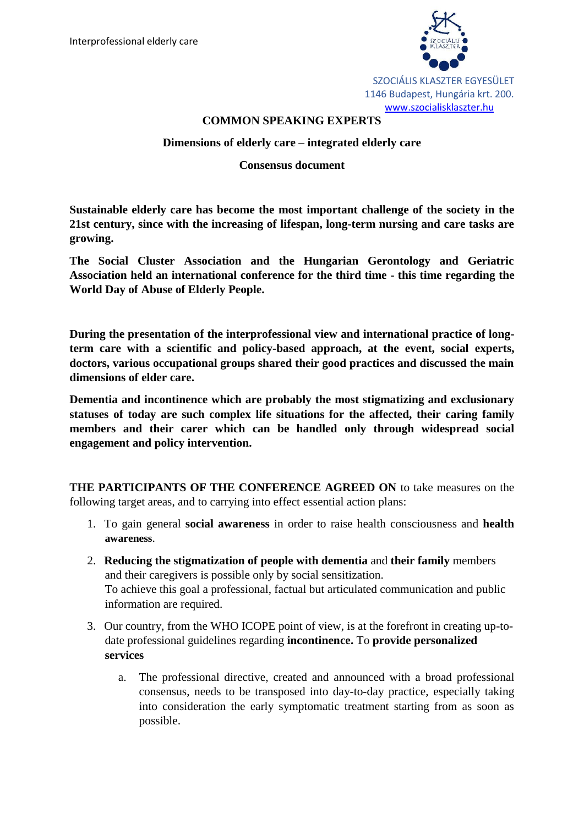

SZOCIÁLIS KLASZTER EGYESÜLET 1146 Budapest, Hungária krt. 200. [www.szocialisklaszter.hu](http://www.szocialisklaszter.hu/)

# **COMMON SPEAKING EXPERTS**

# **Dimensions of elderly care – integrated elderly care**

### **Consensus document**

**Sustainable elderly care has become the most important challenge of the society in the 21st century, since with the increasing of lifespan, long-term nursing and care tasks are growing.**

**The Social Cluster Association and the Hungarian Gerontology and Geriatric Association held an international conference for the third time - this time regarding the World Day of Abuse of Elderly People.**

**During the presentation of the interprofessional view and international practice of longterm care with a scientific and policy-based approach, at the event, social experts, doctors, various occupational groups shared their good practices and discussed the main dimensions of elder care.**

**Dementia and incontinence which are probably the most stigmatizing and exclusionary statuses of today are such complex life situations for the affected, their caring family members and their carer which can be handled only through widespread social engagement and policy intervention.**

**THE PARTICIPANTS OF THE CONFERENCE AGREED ON** to take measures on the following target areas, and to carrying into effect essential action plans:

- 1. To gain general **social awareness** in order to raise health consciousness and **health awareness**.
- 2. **Reducing the stigmatization of people with dementia** and **their family** members and their caregivers is possible only by social sensitization. To achieve this goal a professional, factual but articulated communication and public information are required.
- 3. Our country, from the WHO ICOPE point of view, is at the forefront in creating up-todate professional guidelines regarding **incontinence.** To **provide personalized services**
	- a. The professional directive, created and announced with a broad professional consensus, needs to be transposed into day-to-day practice, especially taking into consideration the early symptomatic treatment starting from as soon as possible.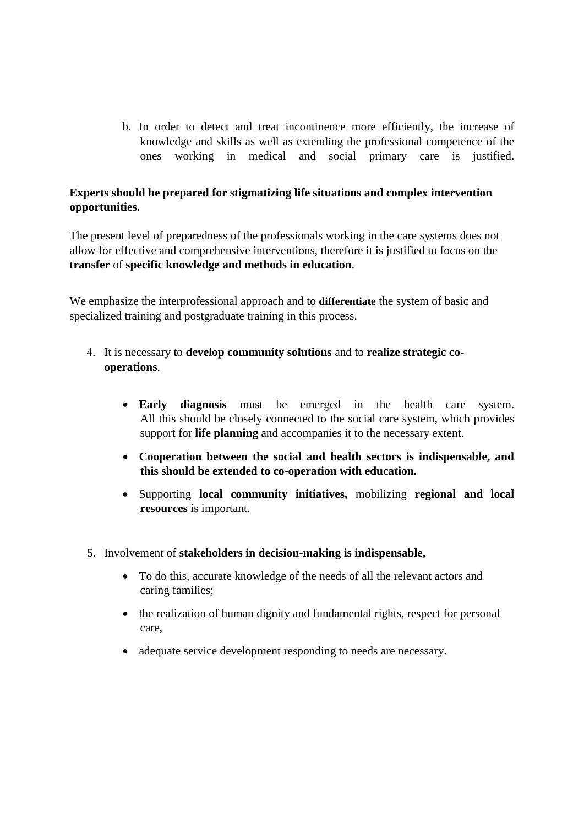b. In order to detect and treat incontinence more efficiently, the increase of knowledge and skills as well as extending the professional competence of the ones working in medical and social primary care is justified.

# **Experts should be prepared for stigmatizing life situations and complex intervention opportunities.**

The present level of preparedness of the professionals working in the care systems does not allow for effective and comprehensive interventions, therefore it is justified to focus on the **transfer** of **specific knowledge and methods in education**.

We emphasize the interprofessional approach and to **differentiate** the system of basic and specialized training and postgraduate training in this process.

- 4. It is necessary to **develop community solutions** and to **realize strategic cooperations**.
	- **Early diagnosis** must be emerged in the health care system. All this should be closely connected to the social care system, which provides support for **life planning** and accompanies it to the necessary extent.
	- **Cooperation between the social and health sectors is indispensable, and this should be extended to co-operation with education.**
	- Supporting **local community initiatives,** mobilizing **regional and local resources** is important.
- 5. Involvement of **stakeholders in decision-making is indispensable,**
	- To do this, accurate knowledge of the needs of all the relevant actors and caring families;
	- the realization of human dignity and fundamental rights, respect for personal care,
	- adequate service development responding to needs are necessary.